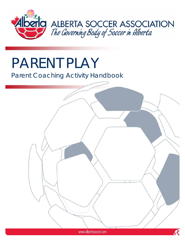

# PARENT PLAY

## Parent Coaching Activity Handbook

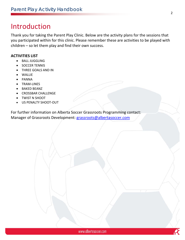## Introduction

Thank you for taking the Parent Play Clinic. Below are the activity plans for the sessions that you participated within for this clinic. Please remember these are activities to be played with children – so let them play and find their own success.

### **ACTIVITIES LIST**

- **BALL JUGGLING**
- SOCCER TENNIS
- THREE GOALS AND IN
- WALLIE
- PANNA
- TRAM‐LINES
- BAKED BEANZ
- CROSSBAR CHALLENGE
- TWIST N SHOOT
- US PENALTY SHOOT‐OUT

For further information on Alberta Soccer Grassroots Programming contact: Manager of Grassroots Development: grassroots@albertasoccer.com

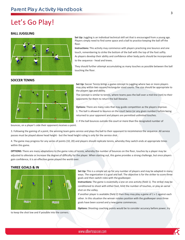## Let's Go Play!

#### **BALL JUGGLING**



**Set Up:** Juggling is an individual technical skill set that is encouraged from a young age. Players simply need to find some space and a ball to practice keeping the ball off the floor.

**Instructions:** This activity may commence with players practicing one bounce and one touch, remembering to strike the bottom of the ball with the top of the foot softly. As players develop their ability and confidence other body parts should be incorporated to the sequence ‐ head and knees.

They should further attempt accumulating as many touches as possible between the ball touching the floor.

#### **SOCCER TENNIS**



**Set Up:** Soccer Tennis brings a game concept to juggling where two or more players may play within two square/rectangular sized courts. The size should be appropriate to the players age and ability.

The concept is similar to tennis, where teams pass the ball over a mid‐line (net) to their opponents for them to return the ball likewise.

**Options:** There are many rules that may guide competition as the players improve. 1. The ball is allowed to bounce on the court twice (or any given number) before being returned to your opponent and players are permitted unlimited touches.

2. If the ball bounces outside the court or more than the designated number of

bounces, on a player's side their opponent receives a point.

3. Following the gaining of a point, the winning team gains service and plays the ball to their opponent to recommence the sequence. All service passes must be played above head height - but the head height ruling is only for the service shot.

4. The game may progress for any series of points (10, 20) and players should replicate tennis, whereby they switch ends at appropriate times within this game.

**OPTIONS:** There are many adaptations to the game rules of tennis, whereby the number of bounces on the floor, touches by a player may be adjusted to alleviate or increase the degree of difficulty for the player. When starting out, this game provides a strong challenge, but once players gain confidence, it is an effective game played the world over.

#### **THREE GOALS & IN**



to keep the shot low and if possible into the corners.

**Set Up:** This is a simple set up for any number of players and may be adapted in many ways. The organization is a goal and ball. The objective is for the striker to score three goals and then switch roles with the goalkeeper.

**Instructions:** The game is essentially a one on one activity (field 1). The striker may be conditioned to shoot with either foot, limit the number of touches, or play an aerial shot on the volley.

If another player is available (field 2) then they may play a game of  $1 \vee 1$  against each other. In this situation the winner rotates position with the goalkeeper once three goals have been scored and a new game commences.

**Options:** Shooting coaching points would be to consider accuracy before power, try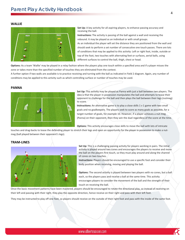#### **WALLIE**



**Set Up:** A key activity for all aspiring players, to enhance passing accuracy and receiving the ball.

**Instructions:** The activity is passing of the ball against a wall and receiving the rebound. It may be played as an individual or with small groups.

As an individual the player will set the distance they are positioned from the wall and should seek to perform a set number of consecutive one touch passes. There are lots of conditions that may be applied to this activity: Left or right foot, inside, outside or top of the foot, two touches with alternating feet or surfaces, aerial balls, using different surfaces to control the ball, thigh, chest or head.

**Options:** As a team 'Wallie' may be played in a relay fashion where the players play one touch within a specified area and if a player misses the zone or takes more than the specified number of touches they are eliminated from the contest.

A further option if two walls are available is to practice receiving and turning with the ball as indicated in Field 2 diagram. Again, any number of conditions may be applied to this activity such as which controlling surface or number of touches may be used.

#### **PANNA**



**Set Up:** This activity may be played as Panna with just a ball between two players. The idea is that the player in possession manipulates the ball and attempts to tease their opponent to challenge for the ball and then plays the ball between their legs (nutmeg) to score.

**Instructions:** An alternative game is to play a close skills 1 v 1 game with two small goals and no goalkeepers. The players seek to score as many goals as possible, for a target number of goals, for example 10. However, if a player achieves a nut‐meg (Panna) on their opponent, then they win the duel regardless of the score at the time.

**Options:** This activity encourages close skills to move the ball with lots of intricate

touches and drag-backs to tease the defending player to stretch their legs and open an opportunity for the player in possession to make a nutmeg (ball played between their opponent's legs).

#### **TRAM‐LINES**



**Set Up:** This is a challenging passing activity for players working in pairs. The initial activity is played around two cones and encourages the players to receive and move the ball on the players first touch, so they must play around and along the channel of cones on two touches.

**Instructions:** Players should be encouraged to use a specific foot and consider their body position when receiving, moving and playing the ball.

**Options:** The second activity is played between two players with no cones, but a ball each, so the players pass and receive a ball at the same time. This activity encourages players to consider the movement of the ball and the strength of their touch on receiving the ball.

Once the basic movement patterns have been mastered, players should be encouraged to rotate the directional play, so instead of receiving on their left and passing with their right, they play the opposite direction, hence receive on their right and pass with their left foot.

They may be instructed to play off one foot, so players should receive on the outside of their right foot and pass with the inside of the same foot.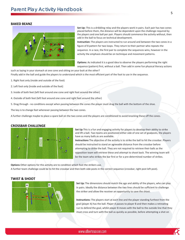#### **BAKED BEANZ**



**Set Up:** This is a dribbling relay and the players work in pairs. Each pair has two cones placed before them, the distance will be dependent upon the challenge required by the players and one ball per pair. Players should commence the activity without, then add in the ball to focus on technical development.

**Instruction:** The players are instructed to run around and between the two cones in a figure of 8 pattern for two loops. They return to their partner who repeats the sequence. In a race, the first pair to complete the sequences wins, however in the activity the emphasis should be on technique and movement patterns.

**Options:** As indicated it is a good idea to observe the players performing the right sequence (pattern) first, without a ball. Then add in some fun physical literacy actions

such as laying in your stomach at one cone and sitting on your butt at the other?

Finally add in the ball and guide the players to understand which is the most efficient part of the foot to use in the sequence.

- 1. Right foot only (inside and outside of the foot)
- 2. Left foot only (inside and outside of the foot)
- 3. Inside of both feet (left foot around one cone and right foot around the other)
- 4. Outside of both feet (left foot around one cone and right foot around the other)
- 5. Drag through ‐ no conditions except when passing between the cones the player must drag the ball with the bottom of the shoe.

The key is to change feet whenever passing between the two cones.

A further challenge maybe to place a spare ball on the two cones and the players are conditioned to avoid knocking these off the cones.

#### **CROSSBAR CHALLENGE**



**Set Up** This is a fun and engaging activity for players to develop their ability to strike and lift a ball. Two teams are positioned either side of one set of goalposts, the players have as many balls as are available.

**Instructions** The objective of the activity is to strike the ball to hit the crossbar. Players should be instructed to stand an agreeable distance from the crossbar before attempting to strike the ball. They are not required to retrieve their balls as the opposition team will retrieve these and attempt to shoot back. The winning team will be the team who strikes the bar first or for a pre-determined number of strikes.

**Options** Other options for this activity are to condition which foot the strikers use. A further team challenge could be to hit the crossbar and then both side posts in the correct sequence (crossbar, right post left post).

#### **TWIST & SHOOT**



**Set Up:** The dimensions should match the age and ability of the players, who can play in pairs. Ideally the distance between the two lines should be sufficient to challenge the striker and allow the receiver an opportunity to save the shoot.

**Instructions:** The players start at each line and the player standing furthest from the goal (player A) has the ball. Player A passes to player B and then makes a retreating run to defend the goal, whilst player B moves with the ball to the outside line that they must cross and turn with the ball as quickly as possible, before attempting a shot on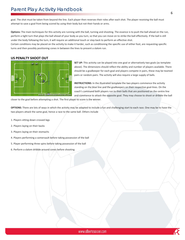goal. The shot must be taken from beyond the line. Each player then reverses their roles after each shot. The player receiving the ball must attempt to save a goal from being scored by using their body but not their hands or arms.

**Options:** The main techniques for this activity are running with the ball, turning and shooting. The essence is to push the ball ahead on the run, perform a tight turn that plays the ball ahead of your body as you turn, so that you can move on to strike the ball effectively. If the ball is still under the body following the turn, it will require an additional touch or step back to perform an effective shot.

Certain conditions may be placed on the activity to make it harder, such as conditioning the specific use of either foot, are requesting specific turns and then possibly positioning cones in between the lines to present a slalom run.

#### **US PENALTY SHOOT OUT**



**SET UP:** This activity can be played into one goal or alternatively two goals (as template above). The dimensions should reflect the ability and number of players available. There should be a goalkeeper for each goal and players compete in pairs, these may be teamed pairs or random pairs. The activity will also require a large supply of balls.

**INSTRUCTIONS:** In the illustrated template the two players commence the activity standing on the blue line and the goalkeepers on their respective goal-lines. On the coach's command both players run to their balls that are positioned on the centre line and commence to attack the opposite goal. They may choose to shoot or dribble the ball

closer to the goal before attempting a shot. The first player to score is the winner.

**OPTIONS:** There are lots of ways in which the activity may be adapted to include a fun and challenging start to each race. One may be to have the two players attack the same goal, hence a race to the same ball. Others include

- 1. Players sitting down crossed legs
- 2. Players laying on their backs
- 3. Players laying on their stomachs
- 4. Players performing a somersault before taking possession of the ball
- 5. Player performing three spins before taking possession of the ball
- 6. Perform a slalom dribble around cones before shooting